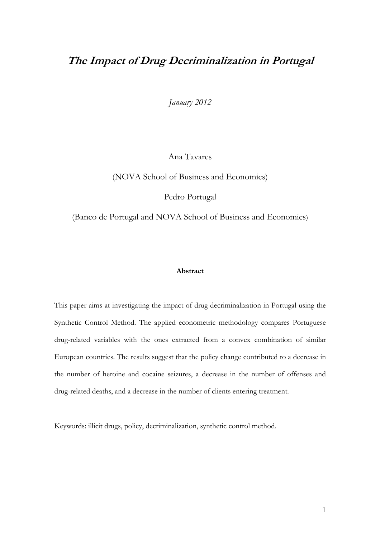# **The Impact of Drug Decriminalization in Portugal**

*January 2012* 

Ana Tavares

(NOVA School of Business and Economics)

Pedro Portugal

(Banco de Portugal and NOVA School of Business and Economics)

# **Abstract**

This paper aims at investigating the impact of drug decriminalization in Portugal using the Synthetic Control Method. The applied econometric methodology compares Portuguese drug-related variables with the ones extracted from a convex combination of similar European countries. The results suggest that the policy change contributed to a decrease in the number of heroine and cocaine seizures, a decrease in the number of offenses and drug-related deaths, and a decrease in the number of clients entering treatment.

Keywords: illicit drugs, policy, decriminalization, synthetic control method.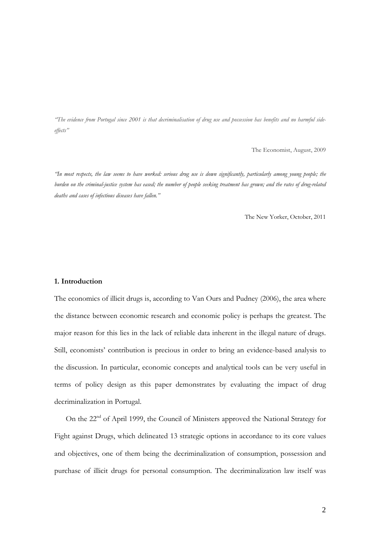*"The evidence from Portugal since 2001 is that decriminalisation of drug use and possession has benefits and no harmful sideeffects"* 

The Economist, August, 2009

*"In most respects, the law seems to have worked: serious drug use is down significantly, particularly among young people; the burden on the criminal-justice system has eased; the number of people seeking treatment has grown; and the rates of drug-related deaths and cases of infectious diseases have fallen."* 

The New Yorker, October, 2011

#### **1. Introduction**

The economics of illicit drugs is, according to Van Ours and Pudney (2006), the area where the distance between economic research and economic policy is perhaps the greatest. The major reason for this lies in the lack of reliable data inherent in the illegal nature of drugs. Still, economists' contribution is precious in order to bring an evidence-based analysis to the discussion. In particular, economic concepts and analytical tools can be very useful in terms of policy design as this paper demonstrates by evaluating the impact of drug decriminalization in Portugal.

On the 22nd of April 1999, the Council of Ministers approved the National Strategy for Fight against Drugs, which delineated 13 strategic options in accordance to its core values and objectives, one of them being the decriminalization of consumption, possession and purchase of illicit drugs for personal consumption. The decriminalization law itself was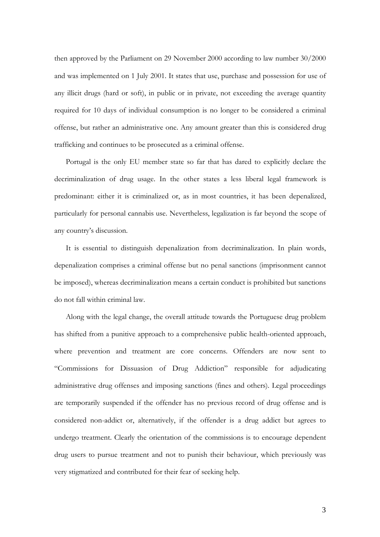then approved by the Parliament on 29 November 2000 according to law number 30/2000 and was implemented on 1 July 2001. It states that use, purchase and possession for use of any illicit drugs (hard or soft), in public or in private, not exceeding the average quantity required for 10 days of individual consumption is no longer to be considered a criminal offense, but rather an administrative one. Any amount greater than this is considered drug trafficking and continues to be prosecuted as a criminal offense.

Portugal is the only EU member state so far that has dared to explicitly declare the decriminalization of drug usage. In the other states a less liberal legal framework is predominant: either it is criminalized or, as in most countries, it has been depenalized, particularly for personal cannabis use. Nevertheless, legalization is far beyond the scope of any country's discussion.

It is essential to distinguish depenalization from decriminalization. In plain words, depenalization comprises a criminal offense but no penal sanctions (imprisonment cannot be imposed), whereas decriminalization means a certain conduct is prohibited but sanctions do not fall within criminal law.

Along with the legal change, the overall attitude towards the Portuguese drug problem has shifted from a punitive approach to a comprehensive public health-oriented approach, where prevention and treatment are core concerns. Offenders are now sent to "Commissions for Dissuasion of Drug Addiction" responsible for adjudicating administrative drug offenses and imposing sanctions (fines and others). Legal proceedings are temporarily suspended if the offender has no previous record of drug offense and is considered non-addict or, alternatively, if the offender is a drug addict but agrees to undergo treatment. Clearly the orientation of the commissions is to encourage dependent drug users to pursue treatment and not to punish their behaviour, which previously was very stigmatized and contributed for their fear of seeking help.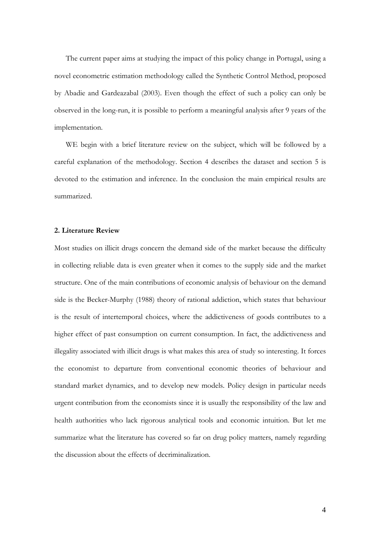The current paper aims at studying the impact of this policy change in Portugal, using a novel econometric estimation methodology called the Synthetic Control Method, proposed by Abadie and Gardeazabal (2003). Even though the effect of such a policy can only be observed in the long-run, it is possible to perform a meaningful analysis after 9 years of the implementation.

WE begin with a brief literature review on the subject, which will be followed by a careful explanation of the methodology. Section 4 describes the dataset and section 5 is devoted to the estimation and inference. In the conclusion the main empirical results are summarized.

#### **2. Literature Review**

Most studies on illicit drugs concern the demand side of the market because the difficulty in collecting reliable data is even greater when it comes to the supply side and the market structure. One of the main contributions of economic analysis of behaviour on the demand side is the Becker-Murphy (1988) theory of rational addiction, which states that behaviour is the result of intertemporal choices, where the addictiveness of goods contributes to a higher effect of past consumption on current consumption. In fact, the addictiveness and illegality associated with illicit drugs is what makes this area of study so interesting. It forces the economist to departure from conventional economic theories of behaviour and standard market dynamics, and to develop new models. Policy design in particular needs urgent contribution from the economists since it is usually the responsibility of the law and health authorities who lack rigorous analytical tools and economic intuition. But let me summarize what the literature has covered so far on drug policy matters, namely regarding the discussion about the effects of decriminalization.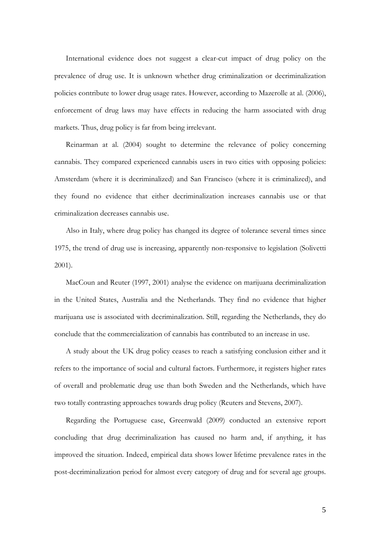International evidence does not suggest a clear-cut impact of drug policy on the prevalence of drug use. It is unknown whether drug criminalization or decriminalization policies contribute to lower drug usage rates. However, according to Mazerolle at al. (2006), enforcement of drug laws may have effects in reducing the harm associated with drug markets. Thus, drug policy is far from being irrelevant.

Reinarman at al. (2004) sought to determine the relevance of policy concerning cannabis. They compared experienced cannabis users in two cities with opposing policies: Amsterdam (where it is decriminalized) and San Francisco (where it is criminalized), and they found no evidence that either decriminalization increases cannabis use or that criminalization decreases cannabis use.

Also in Italy, where drug policy has changed its degree of tolerance several times since 1975, the trend of drug use is increasing, apparently non-responsive to legislation (Solivetti 2001).

MacCoun and Reuter (1997, 2001) analyse the evidence on marijuana decriminalization in the United States, Australia and the Netherlands. They find no evidence that higher marijuana use is associated with decriminalization. Still, regarding the Netherlands, they do conclude that the commercialization of cannabis has contributed to an increase in use.

A study about the UK drug policy ceases to reach a satisfying conclusion either and it refers to the importance of social and cultural factors. Furthermore, it registers higher rates of overall and problematic drug use than both Sweden and the Netherlands, which have two totally contrasting approaches towards drug policy (Reuters and Stevens, 2007).

Regarding the Portuguese case, Greenwald (2009) conducted an extensive report concluding that drug decriminalization has caused no harm and, if anything, it has improved the situation. Indeed, empirical data shows lower lifetime prevalence rates in the post-decriminalization period for almost every category of drug and for several age groups.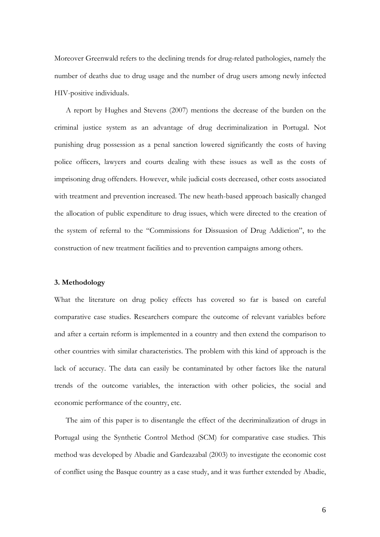Moreover Greenwald refers to the declining trends for drug-related pathologies, namely the number of deaths due to drug usage and the number of drug users among newly infected HIV-positive individuals.

A report by Hughes and Stevens (2007) mentions the decrease of the burden on the criminal justice system as an advantage of drug decriminalization in Portugal. Not punishing drug possession as a penal sanction lowered significantly the costs of having police officers, lawyers and courts dealing with these issues as well as the costs of imprisoning drug offenders. However, while judicial costs decreased, other costs associated with treatment and prevention increased. The new heath-based approach basically changed the allocation of public expenditure to drug issues, which were directed to the creation of the system of referral to the "Commissions for Dissuasion of Drug Addiction", to the construction of new treatment facilities and to prevention campaigns among others.

# **3. Methodology**

What the literature on drug policy effects has covered so far is based on careful comparative case studies. Researchers compare the outcome of relevant variables before and after a certain reform is implemented in a country and then extend the comparison to other countries with similar characteristics. The problem with this kind of approach is the lack of accuracy. The data can easily be contaminated by other factors like the natural trends of the outcome variables, the interaction with other policies, the social and economic performance of the country, etc.

The aim of this paper is to disentangle the effect of the decriminalization of drugs in Portugal using the Synthetic Control Method (SCM) for comparative case studies. This method was developed by Abadie and Gardeazabal (2003) to investigate the economic cost of conflict using the Basque country as a case study, and it was further extended by Abadie,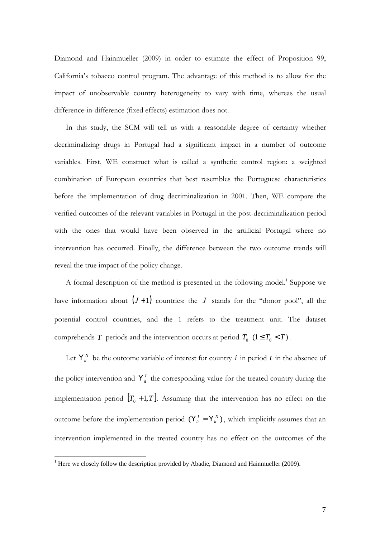Diamond and Hainmueller (2009) in order to estimate the effect of Proposition 99, California's tobacco control program. The advantage of this method is to allow for the impact of unobservable country heterogeneity to vary with time, whereas the usual difference-in-difference (fixed effects) estimation does not.

In this study, the SCM will tell us with a reasonable degree of certainty whether decriminalizing drugs in Portugal had a significant impact in a number of outcome variables. First, WE construct what is called a synthetic control region: a weighted combination of European countries that best resembles the Portuguese characteristics before the implementation of drug decriminalization in 2001. Then, WE compare the verified outcomes of the relevant variables in Portugal in the post-decriminalization period with the ones that would have been observed in the artificial Portugal where no intervention has occurred. Finally, the difference between the two outcome trends will reveal the true impact of the policy change.

A formal description of the method is presented in the following model.<sup>1</sup> Suppose we have information about  $(J+1)$  countries: the *J* stands for the "donor pool", all the potential control countries, and the 1 refers to the treatment unit. The dataset comprehends *T* periods and the intervention occurs at period  $T_0$  ( $1 \le T_0 < T$ ).

Let  $Y_i^N$  be the outcome variable of interest for country *i* in period *t* in the absence of the policy intervention and  $Y^I_{ii}$  the corresponding value for the treated country during the implementation period  $[T_0 + 1, T]$ . Assuming that the intervention has no effect on the outcome before the implementation period  $(Y_i^I = Y_i^N)$  $Y_i^I = Y_i^N$ , which implicitly assumes that an intervention implemented in the treated country has no effect on the outcomes of the

 $\overline{a}$ 

<sup>&</sup>lt;sup>1</sup> Here we closely follow the description provided by Abadie, Diamond and Hainmueller (2009).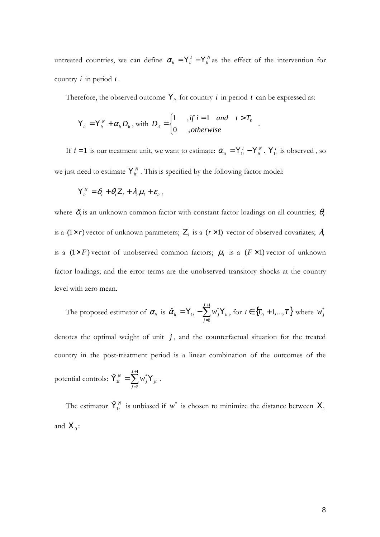untreated countries, we can define  $\alpha_{ii} = Y_i^I - Y_i^N$  as the effect of the intervention for country *i* in period *t* .

Therefore, the observed outcome  $Y_i$  for country *i* in period *t* can be expressed as:

.

$$
Y_{it} = Y_{it}^{N} + \alpha_{it} D_{it}, \text{ with } D_{it} = \begin{cases} 1 & ,if \ i = 1 \ and \ t > T_{0} \\ 0 & , otherwise \end{cases}
$$

If  $i = 1$  is our treatment unit, we want to estimate:  $\alpha_{1t} = Y_{1t}^I - Y_{it}^N$ .  $Y_{1t}^I$  is observed, so we just need to estimate  $Y_i^N$ . This is specified by the following factor model:

$$
Y_{it}^N = \delta_t + \theta_t Z_i + \lambda_t \mu_i + \varepsilon_{it},
$$

where  $\delta_t$  is an unknown common factor with constant factor loadings on all countries;  $\theta_t$ is a  $(1 \times r)$  vector of unknown parameters;  $\mathbf{Z}_i$  is a  $(r \times 1)$  vector of observed covariates;  $\lambda_t$ is a  $(1 \times F)$  vector of unobserved common factors;  $\mu_i$  is a  $(F \times 1)$  vector of unknown factor loadings; and the error terms are the unobserved transitory shocks at the country level with zero mean.

The proposed estimator of 
$$
\alpha_{ii}
$$
 is  $\hat{\alpha}_{ii} = Y_{1t} - \sum_{j=2}^{J+1} w_j^* Y_{ii}$ , for  $t \in \{T_0 + 1, ..., T\}$  where  $w_j^*$ 

denotes the optimal weight of unit  $j$ , and the counterfactual situation for the treated country in the post-treatment period is a linear combination of the outcomes of the potential controls:  $\mathbf{\hat{Y}}_{1t}^{N} = \sum^{J+1}$ =  $\hat{\mathbf{Y}}_{1t}^{N} = \sum w_{i}^{*} \mathbf{Y}$ 1 2 \*  $\hat{\mathbf{Y}}_{1t}^{N}=\sum_{\mathbf{Z}}^{J}$ *j jtj*  $V_{t}^{N} = \sum w_{j}^{*} Y_{jt}$ .

The estimator  $\hat{\mathbf{Y}}_{1t}^{N}$  is unbiased if  $w^*$  is chosen to minimize the distance between  $\mathbf{X}_1$ and  $X_0$ :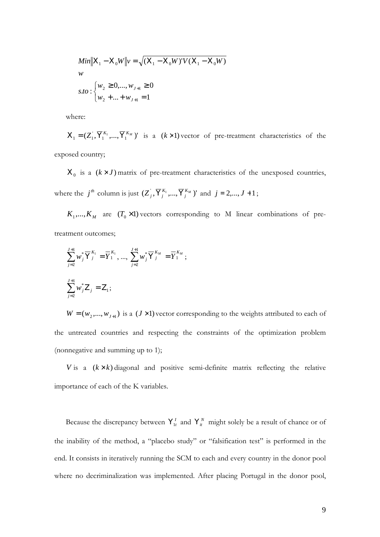$$
Min||X_1 - X_0W||v = \sqrt{(X_1 - X_0W)'V(X_1 - X_0W)}
$$
  
w  
s.to: 
$$
\begin{cases} w_2 \ge 0, ..., w_{J+1} \ge 0\\ w_2 + ... + w_{J+1} = 1 \end{cases}
$$

where:

 $X_1 = (Z_1, \overline{Y}_1^{K_1}, ..., \overline{Y}_1^{K_M})'$  is a  $(k \times 1)$  vector of pre-treatment characteristics of the exposed country;

 $X_0$  is a  $(k \times J)$  matrix of pre-treatment characteristics of the unexposed countries, where the  $j^{\textit{th}}$  column is just  $(Z_j^{'}, \overline{Y}_j^{K_1}, ..., \overline{Y}_j^{K_M})'$  $Z^{\dagger}_{j}$ ,  $\overline{Y}^{K_{1}}_{j}$ , ...,  $\overline{Y}^{K_{M}}_{j}$  )' and  $j = 2,..., J + 1$ ;

 $K_1, \ldots, K_M$  are  $(T_0 \times 1)$  vectors corresponding to M linear combinations of pretreatment outcomes;

$$
\begin{aligned}\n\sum_{j=2}^{J+1} w_j^* \overline{Y}_j^{K_1} &= \overline{Y}_1^{K_1}, \dots, \sum_{j=2}^{J+1} w_j^* \overline{Y}_j^{K_M} = \overline{Y}_1^{K_M}; \\
\sum_{j=2}^{J+1} w_j^* Z_j &= Z_1;\n\end{aligned}
$$

 $W = (w_2,..., w_{J+1})$  is a ( $J \times 1$ ) vector corresponding to the weights attributed to each of the untreated countries and respecting the constraints of the optimization problem (nonnegative and summing up to 1);

*V* is a  $(k \times k)$  diagonal and positive semi-definite matrix reflecting the relative importance of each of the K variables.

Because the discrepancy between  $Y_{1t}^I$  and  $Y_{it}^N$  might solely be a result of chance or of the inability of the method, a "placebo study" or "falsification test" is performed in the end. It consists in iteratively running the SCM to each and every country in the donor pool where no decriminalization was implemented. After placing Portugal in the donor pool,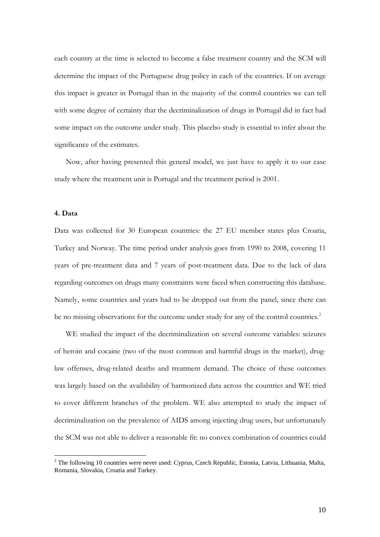each country at the time is selected to become a false treatment country and the SCM will determine the impact of the Portuguese drug policy in each of the countries. If on average this impact is greater in Portugal than in the majority of the control countries we can tell with some degree of certainty that the decriminalization of drugs in Portugal did in fact had some impact on the outcome under study. This placebo study is essential to infer about the significance of the estimates.

Now, after having presented this general model, we just have to apply it to our case study where the treatment unit is Portugal and the treatment period is 2001.

# **4. Data**

Data was collected for 30 European countries: the 27 EU member states plus Croatia, Turkey and Norway. The time period under analysis goes from 1990 to 2008, covering 11 years of pre-treatment data and 7 years of post-treatment data. Due to the lack of data regarding outcomes on drugs many constraints were faced when constructing this database. Namely, some countries and years had to be dropped out from the panel, since there can be no missing observations for the outcome under study for any of the control countries.<sup>2</sup>

WE studied the impact of the decriminalization on several outcome variables: seizures of heroin and cocaine (two of the most common and harmful drugs in the market), druglaw offenses, drug-related deaths and treatment demand. The choice of these outcomes was largely based on the availability of harmonized data across the countries and WE tried to cover different branches of the problem. WE also attempted to study the impact of decriminalization on the prevalence of AIDS among injecting drug users, but unfortunately the SCM was not able to deliver a reasonable fit: no convex combination of countries could

<sup>&</sup>lt;sup>2</sup> The following 10 countries were never used: Cyprus, Czech Republic, Estonia, Latvia, Lithuania, Malta, Romania, Slovakia, Croatia and Turkey.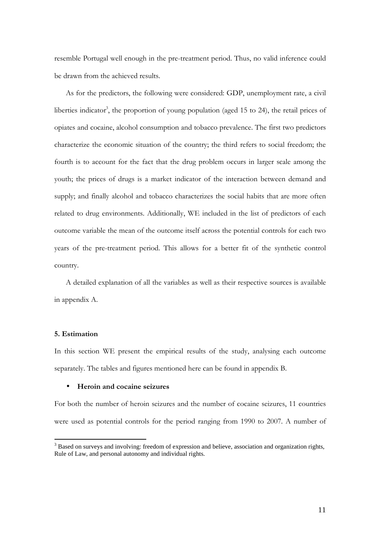resemble Portugal well enough in the pre-treatment period. Thus, no valid inference could be drawn from the achieved results.

As for the predictors, the following were considered: GDP, unemployment rate, a civil liberties indicator<sup>3</sup>, the proportion of young population (aged 15 to 24), the retail prices of opiates and cocaine, alcohol consumption and tobacco prevalence. The first two predictors characterize the economic situation of the country; the third refers to social freedom; the fourth is to account for the fact that the drug problem occurs in larger scale among the youth; the prices of drugs is a market indicator of the interaction between demand and supply; and finally alcohol and tobacco characterizes the social habits that are more often related to drug environments. Additionally, WE included in the list of predictors of each outcome variable the mean of the outcome itself across the potential controls for each two years of the pre-treatment period. This allows for a better fit of the synthetic control country.

A detailed explanation of all the variables as well as their respective sources is available in appendix A.

# **5. Estimation**

 $\overline{a}$ 

In this section WE present the empirical results of the study, analysing each outcome separately. The tables and figures mentioned here can be found in appendix B.

### • **Heroin and cocaine seizures**

For both the number of heroin seizures and the number of cocaine seizures, 11 countries were used as potential controls for the period ranging from 1990 to 2007. A number of

<sup>&</sup>lt;sup>3</sup> Based on surveys and involving: freedom of expression and believe, association and organization rights, Rule of Law, and personal autonomy and individual rights.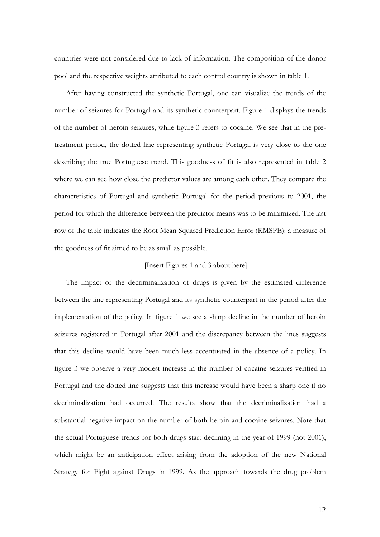countries were not considered due to lack of information. The composition of the donor pool and the respective weights attributed to each control country is shown in table 1.

After having constructed the synthetic Portugal, one can visualize the trends of the number of seizures for Portugal and its synthetic counterpart. Figure 1 displays the trends of the number of heroin seizures, while figure 3 refers to cocaine. We see that in the pretreatment period, the dotted line representing synthetic Portugal is very close to the one describing the true Portuguese trend. This goodness of fit is also represented in table 2 where we can see how close the predictor values are among each other. They compare the characteristics of Portugal and synthetic Portugal for the period previous to 2001, the period for which the difference between the predictor means was to be minimized. The last row of the table indicates the Root Mean Squared Prediction Error (RMSPE): a measure of the goodness of fit aimed to be as small as possible.

#### [Insert Figures 1 and 3 about here]

The impact of the decriminalization of drugs is given by the estimated difference between the line representing Portugal and its synthetic counterpart in the period after the implementation of the policy. In figure 1 we see a sharp decline in the number of heroin seizures registered in Portugal after 2001 and the discrepancy between the lines suggests that this decline would have been much less accentuated in the absence of a policy. In figure 3 we observe a very modest increase in the number of cocaine seizures verified in Portugal and the dotted line suggests that this increase would have been a sharp one if no decriminalization had occurred. The results show that the decriminalization had a substantial negative impact on the number of both heroin and cocaine seizures. Note that the actual Portuguese trends for both drugs start declining in the year of 1999 (not 2001), which might be an anticipation effect arising from the adoption of the new National Strategy for Fight against Drugs in 1999. As the approach towards the drug problem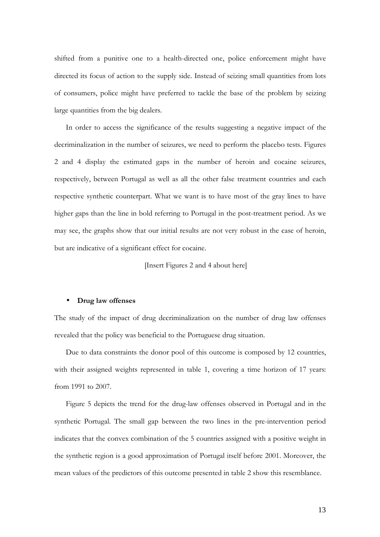shifted from a punitive one to a health-directed one, police enforcement might have directed its focus of action to the supply side. Instead of seizing small quantities from lots of consumers, police might have preferred to tackle the base of the problem by seizing large quantities from the big dealers.

In order to access the significance of the results suggesting a negative impact of the decriminalization in the number of seizures, we need to perform the placebo tests. Figures 2 and 4 display the estimated gaps in the number of heroin and cocaine seizures, respectively, between Portugal as well as all the other false treatment countries and each respective synthetic counterpart. What we want is to have most of the gray lines to have higher gaps than the line in bold referring to Portugal in the post-treatment period. As we may see, the graphs show that our initial results are not very robust in the case of heroin, but are indicative of a significant effect for cocaine.

[Insert Figures 2 and 4 about here]

#### • **Drug law offenses**

The study of the impact of drug decriminalization on the number of drug law offenses revealed that the policy was beneficial to the Portuguese drug situation.

Due to data constraints the donor pool of this outcome is composed by 12 countries, with their assigned weights represented in table 1, covering a time horizon of 17 years: from 1991 to 2007.

Figure 5 depicts the trend for the drug-law offenses observed in Portugal and in the synthetic Portugal. The small gap between the two lines in the pre-intervention period indicates that the convex combination of the 5 countries assigned with a positive weight in the synthetic region is a good approximation of Portugal itself before 2001. Moreover, the mean values of the predictors of this outcome presented in table 2 show this resemblance.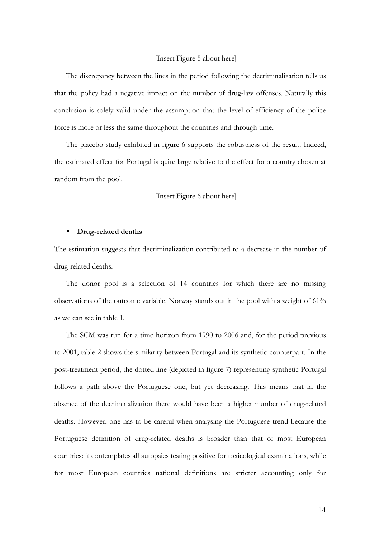#### [Insert Figure 5 about here]

The discrepancy between the lines in the period following the decriminalization tells us that the policy had a negative impact on the number of drug-law offenses. Naturally this conclusion is solely valid under the assumption that the level of efficiency of the police force is more or less the same throughout the countries and through time.

The placebo study exhibited in figure 6 supports the robustness of the result. Indeed, the estimated effect for Portugal is quite large relative to the effect for a country chosen at random from the pool.

[Insert Figure 6 about here]

#### • **Drug-related deaths**

The estimation suggests that decriminalization contributed to a decrease in the number of drug-related deaths.

The donor pool is a selection of 14 countries for which there are no missing observations of the outcome variable. Norway stands out in the pool with a weight of 61% as we can see in table 1.

The SCM was run for a time horizon from 1990 to 2006 and, for the period previous to 2001, table 2 shows the similarity between Portugal and its synthetic counterpart. In the post-treatment period, the dotted line (depicted in figure 7) representing synthetic Portugal follows a path above the Portuguese one, but yet decreasing. This means that in the absence of the decriminalization there would have been a higher number of drug-related deaths. However, one has to be careful when analysing the Portuguese trend because the Portuguese definition of drug-related deaths is broader than that of most European countries: it contemplates all autopsies testing positive for toxicological examinations, while for most European countries national definitions are stricter accounting only for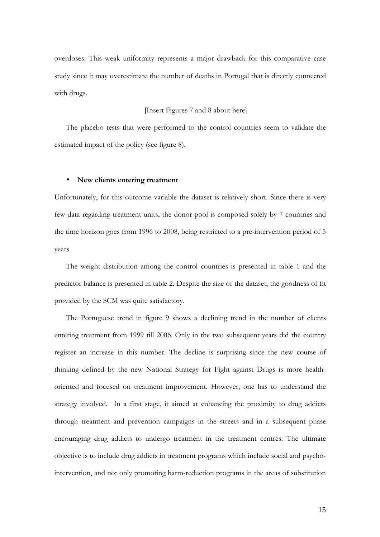overdoses. This weak uniformity represents a major drawback for this comparative case study since it may overestimate the number of deaths in Portugal that is directly connected with drugs.

### [Insert Figures 7 and 8 about here]

The placebo tests that were performed to the control countries seem to validate the estimated impact of the policy (see figure 8).

#### • **New clients entering treatment**

Unfortunately, for this outcome variable the dataset is relatively short. Since there is very few data regarding treatment units, the donor pool is composed solely by 7 countries and the time horizon goes from 1996 to 2008, being restricted to a pre-intervention period of 5 years.

The weight distribution among the control countries is presented in table 1 and the predictor balance is presented in table 2. Despite the size of the dataset, the goodness of fit provided by the SCM was quite satisfactory.

The Portuguese trend in figure 9 shows a declining trend in the number of clients entering treatment from 1999 till 2006. Only in the two subsequent years did the country register an increase in this number. The decline is surprising since the new course of thinking defined by the new National Strategy for Fight against Drugs is more healthoriented and focused on treatment improvement. However, one has to understand the strategy involved. In a first stage, it aimed at enhancing the proximity to drug addicts through treatment and prevention campaigns in the streets and in a subsequent phase encouraging drug addicts to undergo treatment in the treatment centres. The ultimate objective is to include drug addicts in treatment programs which include social and psychointervention, and not only promoting harm-reduction programs in the areas of substitution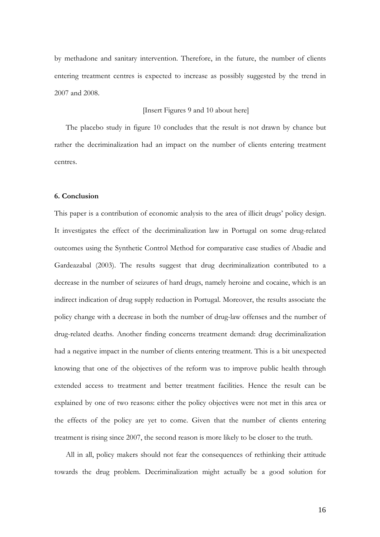by methadone and sanitary intervention. Therefore, in the future, the number of clients entering treatment centres is expected to increase as possibly suggested by the trend in 2007 and 2008.

#### [Insert Figures 9 and 10 about here]

The placebo study in figure 10 concludes that the result is not drawn by chance but rather the decriminalization had an impact on the number of clients entering treatment centres.

#### **6. Conclusion**

This paper is a contribution of economic analysis to the area of illicit drugs' policy design. It investigates the effect of the decriminalization law in Portugal on some drug-related outcomes using the Synthetic Control Method for comparative case studies of Abadie and Gardeazabal (2003). The results suggest that drug decriminalization contributed to a decrease in the number of seizures of hard drugs, namely heroine and cocaine, which is an indirect indication of drug supply reduction in Portugal. Moreover, the results associate the policy change with a decrease in both the number of drug-law offenses and the number of drug-related deaths. Another finding concerns treatment demand: drug decriminalization had a negative impact in the number of clients entering treatment. This is a bit unexpected knowing that one of the objectives of the reform was to improve public health through extended access to treatment and better treatment facilities. Hence the result can be explained by one of two reasons: either the policy objectives were not met in this area or the effects of the policy are yet to come. Given that the number of clients entering treatment is rising since 2007, the second reason is more likely to be closer to the truth.

All in all, policy makers should not fear the consequences of rethinking their attitude towards the drug problem. Decriminalization might actually be a good solution for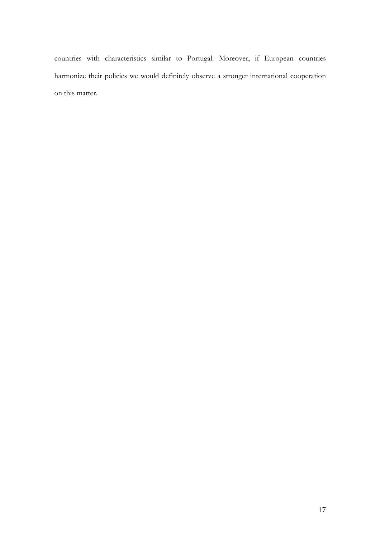countries with characteristics similar to Portugal. Moreover, if European countries harmonize their policies we would definitely observe a stronger international cooperation on this matter.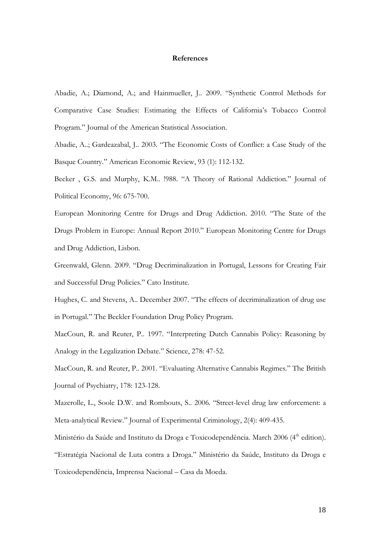#### **References**

Abadie, A.; Diamond, A.; and Hainmueller, J.. 2009. "Synthetic Control Methods for Comparative Case Studies: Estimating the Effects of California's Tobacco Control Program." Journal of the American Statistical Association.

Abadie, A..; Gardeazabal, J.. 2003. "The Economic Costs of Conflict: a Case Study of the Basque Country." American Economic Review, 93 (1): 112-132.

Becker , G.S. and Murphy, K.M.. !988. "A Theory of Rational Addiction." Journal of Political Economy, 96: 675-700.

European Monitoring Centre for Drugs and Drug Addiction. 2010. "The State of the Drugs Problem in Europe: Annual Report 2010." European Monitoring Centre for Drugs and Drug Addiction, Lisbon.

Greenwald, Glenn. 2009. "Drug Decriminalization in Portugal, Lessons for Creating Fair and Successful Drug Policies." Cato Institute.

Hughes, C. and Stevens, A.. December 2007. "The effects of decriminalization of drug use in Portugal." The Beckler Foundation Drug Policy Program.

MacCoun, R. and Reuter, P.. 1997. "Interpreting Dutch Cannabis Policy: Reasoning by Analogy in the Legalization Debate." Science, 278: 47-52.

MacCoun, R. and Reuter, P.. 2001. "Evaluating Alternative Cannabis Regimes." The British Journal of Psychiatry, 178: 123-128.

Mazerolle, L., Soole D.W. and Rombouts, S.. 2006. "Street-level drug law enforcement: a Meta-analytical Review." Journal of Experimental Criminology, 2(4): 409-435.

Ministério da Saúde and Instituto da Droga e Toxicodependência. March 2006 (4<sup>th</sup> edition).

"Estratégia Nacional de Luta contra a Droga." Ministério da Saúde, Instituto da Droga e

Toxicodependência, Imprensa Nacional – Casa da Moeda.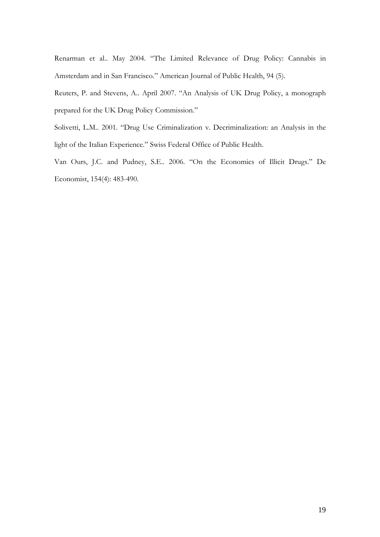Renarman et al.. May 2004. "The Limited Relevance of Drug Policy: Cannabis in Amsterdam and in San Francisco." American Journal of Public Health, 94 (5).

Reuters, P. and Stevens, A.. April 2007. "An Analysis of UK Drug Policy, a monograph prepared for the UK Drug Policy Commission."

Solivetti, L.M.. 2001. "Drug Use Criminalization v. Decriminalization: an Analysis in the light of the Italian Experience." Swiss Federal Office of Public Health.

Van Ours, J.C. and Pudney, S.E.. 2006. "On the Economics of Illicit Drugs." De Economist, 154(4): 483-490.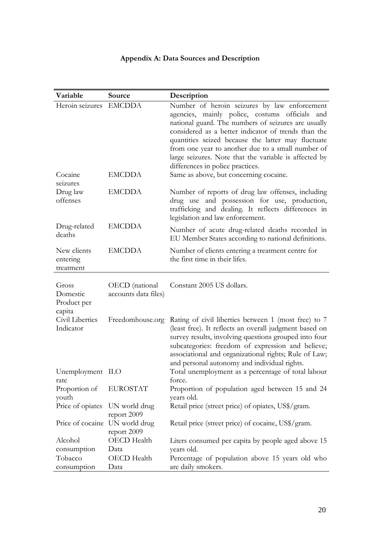# **Appendix A: Data Sources and Description**

| Variable                                   | Source                                 | Description                                                                                                                                                                                                                                                                                                                                                                                                          |
|--------------------------------------------|----------------------------------------|----------------------------------------------------------------------------------------------------------------------------------------------------------------------------------------------------------------------------------------------------------------------------------------------------------------------------------------------------------------------------------------------------------------------|
| Heroin seizures                            | <b>EMCDDA</b>                          | Number of heroin seizures by law enforcement<br>agencies, mainly police, costums officials and<br>national guard. The numbers of seizures are usually<br>considered as a better indicator of trends than the<br>quantities seized because the latter may fluctuate<br>from one year to another due to a small number of<br>large seizures. Note that the variable is affected by<br>differences in police practices. |
| Cocaine<br>seizures                        | <b>EMCDDA</b>                          | Same as above, but concerning cocaine.                                                                                                                                                                                                                                                                                                                                                                               |
| Drug law<br>offenses                       | <b>EMCDDA</b>                          | Number of reports of drug law offenses, including<br>drug use and possession for use, production,<br>trafficking and dealing. It reflects differences in<br>legislation and law enforcement.                                                                                                                                                                                                                         |
| Drug-related<br>deaths                     | <b>EMCDDA</b>                          | Number of acute drug-related deaths recorded in<br>EU Member States according to national definitions.                                                                                                                                                                                                                                                                                                               |
| New clients<br>entering<br>treatment       | <b>EMCDDA</b>                          | Number of clients entering a treatment centre for<br>the first time in their lifes.                                                                                                                                                                                                                                                                                                                                  |
| Gross<br>Domestic<br>Product per<br>capita | OECD (national<br>accounts data files) | Constant 2005 US dollars.                                                                                                                                                                                                                                                                                                                                                                                            |
| Civil Liberties<br>Indicator               | Freedomhouse.org                       | Rating of civil liberties between 1 (most free) to 7<br>(least free). It reflects an overall judgment based on<br>survey results, involving questions grouped into four<br>subcategories: freedom of expression and believe;<br>associational and organizational rights; Rule of Law;<br>and personal autonomy and individual rights.                                                                                |
| Unemployment ILO<br>rate                   |                                        | Total unemployment as a percentage of total labour<br>force.                                                                                                                                                                                                                                                                                                                                                         |
| Proportion of<br>youth                     | <b>EUROSTAT</b>                        | Proportion of population aged between 15 and 24<br>years old.                                                                                                                                                                                                                                                                                                                                                        |
| Price of opiates                           | UN world drug<br>report 2009           | Retail price (street price) of opiates, US\$/gram.                                                                                                                                                                                                                                                                                                                                                                   |
| Price of cocaine UN world drug             | report 2009                            | Retail price (street price) of cocaine, US\$/gram.                                                                                                                                                                                                                                                                                                                                                                   |
| Alcohol<br>consumption                     | OECD Health<br>Data                    | Liters consumed per capita by people aged above 15<br>years old.                                                                                                                                                                                                                                                                                                                                                     |
| Tobacco<br>consumption                     | OECD Health<br>Data                    | Percentage of population above 15 years old who<br>are daily smokers.                                                                                                                                                                                                                                                                                                                                                |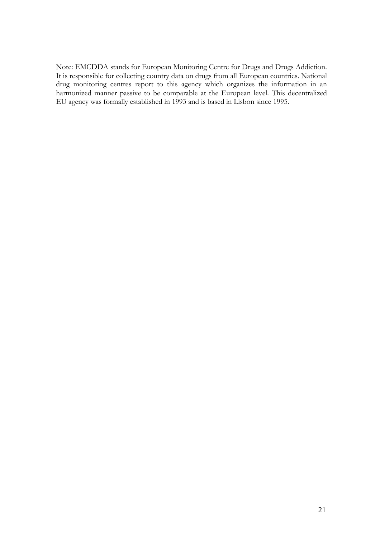Note: EMCDDA stands for European Monitoring Centre for Drugs and Drugs Addiction. It is responsible for collecting country data on drugs from all European countries. National drug monitoring centres report to this agency which organizes the information in an harmonized manner passive to be comparable at the European level. This decentralized EU agency was formally established in 1993 and is based in Lisbon since 1995.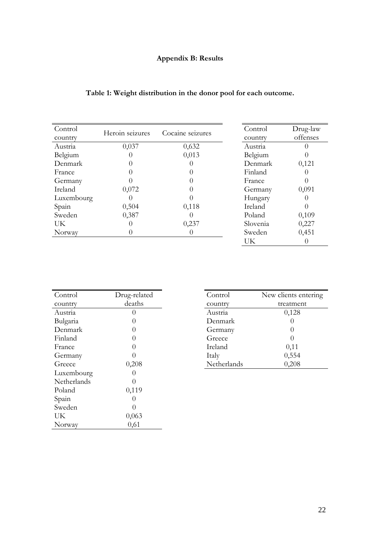# **Appendix B: Results**

|  |  |  | Table 1: Weight distribution in the donor pool for each outcome. |  |
|--|--|--|------------------------------------------------------------------|--|
|  |  |  |                                                                  |  |

| Control    | Heroin seizures | Cocaine seizures | Control  | Drug-law         |
|------------|-----------------|------------------|----------|------------------|
| country    |                 |                  | country  | offenses         |
| Austria    | 0,037           | 0,632            | Austria  |                  |
| Belgium    |                 | 0,013            | Belgium  |                  |
| Denmark    |                 |                  | Denmark  | 0,121            |
| France     |                 |                  | Finland  |                  |
| Germany    |                 |                  | France   | $\left( \right)$ |
| Ireland    | 0,072           |                  | Germany  | 0,091            |
| Luxembourg |                 |                  | Hungary  |                  |
| Spain      | 0,504           | 0,118            | Ireland  |                  |
| Sweden     | 0,387           |                  | Poland   | 0,109            |
| UK         |                 | 0,237            | Slovenia | 0,227            |
| Norway     |                 |                  | Sweden   | 0,451            |
|            |                 |                  | UK       |                  |

| Control     | Drug-related     | Control     | New clients e |
|-------------|------------------|-------------|---------------|
| country     | deaths           | country     | treatmer      |
| Austria     |                  | Austria     | 0,128         |
| Bulgaria    | ( )              | Denmark     |               |
| Denmark     | $\left( \right)$ | Germany     |               |
| Finland     |                  | Greece      |               |
| France      |                  | Ireland     | 0,11          |
| Germany     |                  | Italy       | 0,554         |
| Greece      | 0,208            | Netherlands | 0,208         |
| Luxembourg  |                  |             |               |
| Netherlands |                  |             |               |
| Poland      | 0,119            |             |               |
| Spain       |                  |             |               |
| Sweden      | $\left( \right)$ |             |               |
| UK          | 0,063            |             |               |
| Norway      | 0,61             |             |               |

| Control     | New clients entering |  |
|-------------|----------------------|--|
| country     | treatment            |  |
| Austria     | 0,128                |  |
| Denmark     |                      |  |
| Germany     | 0                    |  |
| Greece      |                      |  |
| Ireland     | 0,11                 |  |
| Italy       | 0,554                |  |
| Netherlands | 0,208                |  |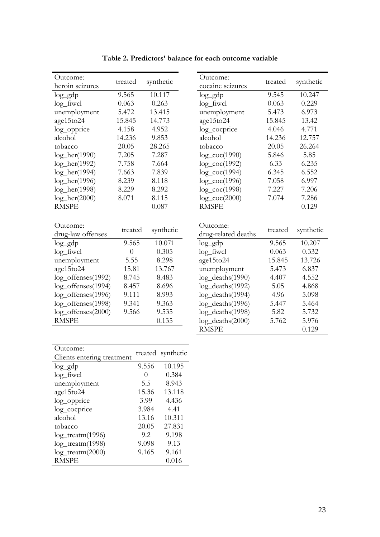| Outcome:                 | treated        | synthetic | Outcome:            | treated | synthetic |
|--------------------------|----------------|-----------|---------------------|---------|-----------|
| heroin seizures          |                |           | cocaine seizures    |         |           |
| $log_g dp$               | 9.565          | 10.117    | $log_g dp$          | 9.545   | 10.247    |
| $log_f$ fiwcl            | 0.063          | 0.263     | $log_f$ fiwcl       | 0.063   | 0.229     |
| unemployment             | 5.472          | 13.415    | unemployment        | 5.473   | 6.973     |
| age15to24                | 15.845         | 14.773    | age15to24           | 15.845  | 13.42     |
| log_opprice              | 4.158          | 4.952     | log_cocprice        | 4.046   | 4.771     |
| alcohol                  | 14.236         | 9.853     | alcohol             | 14.236  | 12.757    |
| tobacco                  | 20.05          | 28.265    | tobacco             | 20.05   | 26.264    |
| $log_{\text{eff}}(1990)$ | 7.205          | 7.287     | $log\_coc(1990)$    | 5.846   | 5.85      |
| $log_{\text{eff}}(1992)$ | 7.758          | 7.664     | $log\_coc(1992)$    | 6.33    | 6.235     |
| $log_{\text{eff}}(1994)$ | 7.663          | 7.839     | $log\_coc(1994)$    | 6.345   | 6.552     |
| $log_{\text{eff}}(1996)$ | 8.239          | 8.118     | $log\_coc(1996)$    | 7.058   | 6.997     |
| $log_{\text{eff}}(1998)$ | 8.229          | 8.292     | $log\_coc(1998)$    | 7.227   | 7.206     |
| $log\_her(2000)$         | 8.071          | 8.115     | $log\_coc(2000)$    | 7.074   | 7.286     |
| <b>RMSPE</b>             |                | 0.087     | <b>RMSPE</b>        |         | 0.129     |
|                          |                |           |                     |         |           |
| Outcome:                 |                |           | Outcome:            |         |           |
| drug-law offenses        | treated        | synthetic | drug-related deaths | treated | synthetic |
| $log_g dp$               | 9.565          | 10.071    | $log_g dp$          | 9.565   | 10.207    |
| $log_f$ fiwcl            | $\overline{0}$ | 0.305     | $log_f$ fiwcl       | 0.063   | 0.332     |
| unemployment             | 5.55           | 8.298     | age15to24           | 15.845  | 13.726    |
| age15to24                | 15.81          | 13.767    | unemployment        | 5.473   | 6.837     |
| log_offenses(1992)       | 8.745          | 8.483     | log_deaths(1990)    | 4.407   | 4.552     |
| log_offenses(1994)       | 8.457          | 8.696     | log_deaths(1992)    | 5.05    | 4.868     |
| log_offenses(1996)       | 9.111          | 8.993     | log_deaths(1994)    | 4.96    | 5.098     |
| log_offenses(1998)       | 9.341          | 9.363     | log_deaths(1996)    | 5.447   | 5.464     |
| log_offenses(2000)       | 9.566          | 9.535     | log_deaths(1998)    | 5.82    | 5.732     |
| <b>RMSPE</b>             |                | 0.135     | $log\_deaths(2000)$ | 5.762   | 5.976     |

Outcome:<br>cocaine seizures treated synthetic unemployment  $5.473$   $6.973$ age15to24 15.845 13.42  $log\_{c}$  cocprice  $4.046$   $4.771$  $log\_{\rm coc}(1990)$  5.846 5.85 log\_coc(1992) 6.33 6.235 log\_coc(1994) 6.345 6.552 log\_coc(1996) 7.058 6.997 log\_coc(1998) 7.227 7.206 log\_coc(2000) 7.074 7.286<br>RMSPE 0.129 Outcome:<br>
drug-related deaths treated synthetic<br>
log gdp 9.565 10.207 age15to24 15.845 13.726 unemployment  $5.473$   $6.837$  $log$  deaths(1990) 4.407 4.552 log\_deaths(1992) 5.05 4.868 log\_deaths(1994) 4.96 5.098 log\_deaths(1996) 5.447 5.464 log\_deaths(1998) 5.82 5.732 log\_deaths(2000) 5.762 5.976 RMSPE 0.129

| Outcome:                   |                  | treated synthetic |  |
|----------------------------|------------------|-------------------|--|
| Clients entering treatment |                  |                   |  |
| $log_g dp$                 | 9.556            | 10.195            |  |
| $log$ _fiwcl               | $\left( \right)$ | 0.384             |  |
| unemployment               | 5.5              | 8.943             |  |
| age15to24                  | 15.36            | 13.118            |  |
| log_opprice                | 3.99             | 4.436             |  |
| log_cocprice               | 3.984            | 4.41              |  |
| alcohol                    | 13.16            | 10.311            |  |
| tobacco                    | 20.05            | 27.831            |  |
| $log_t$ reatm $(1996)$     | 9.2              | 9.198             |  |
| $log_t$ reatm $(1998)$     | 9.098            | 9.13              |  |
| $log_t$ reatm $(2000)$     | 9.165            | 9.161             |  |
| <b>RMSPE</b>               |                  | 0.016             |  |

**Table 2. Predictors' balance for each outcome variable**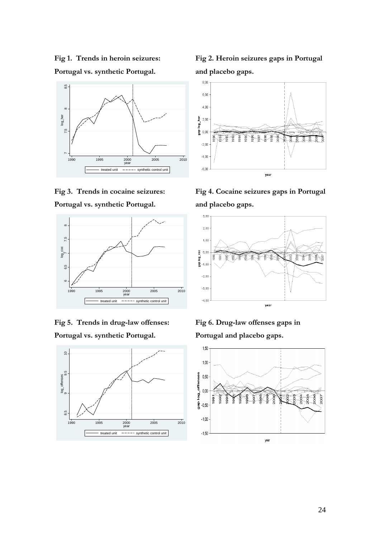**Fig 1. Trends in heroin seizures: Portugal vs. synthetic Portugal.** 











**Fig 2. Heroin seizures gaps in Portugal and placebo gaps.** 



**Fig 4. Cocaine seizures gaps in Portugal and placebo gaps.** 



**Fig 6. Drug-law offenses gaps in Portugal and placebo gaps.**